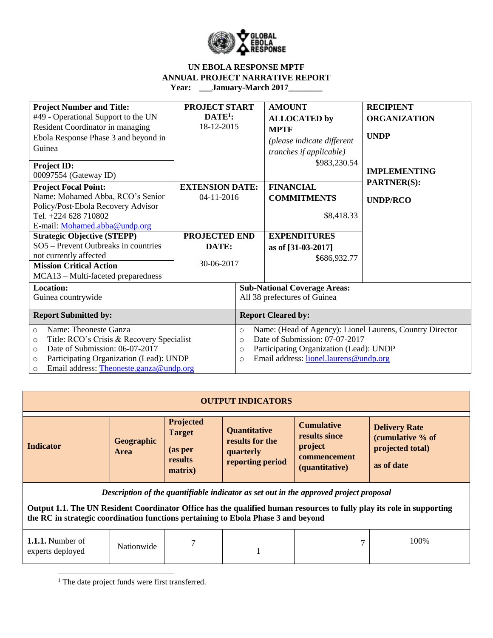

| <b>Project Number and Title:</b><br>#49 - Operational Support to the UN<br>Resident Coordinator in managing<br>Ebola Response Phase 3 and beyond in<br>Guinea<br><b>Project ID:</b><br>00097554 (Gateway ID)                                                                                                                                   | PROJECT START<br>$\mathbf{DATE}^1$ :<br>18-12-2015                           |                                            | <b>AMOUNT</b><br><b>ALLOCATED</b> by<br><b>MPTF</b><br>(please indicate different<br>tranches if applicable)<br>\$983,230.54                                                    | <b>RECIPIENT</b><br><b>ORGANIZATION</b><br><b>UNDP</b><br><b>IMPLEMENTING</b> |
|------------------------------------------------------------------------------------------------------------------------------------------------------------------------------------------------------------------------------------------------------------------------------------------------------------------------------------------------|------------------------------------------------------------------------------|--------------------------------------------|---------------------------------------------------------------------------------------------------------------------------------------------------------------------------------|-------------------------------------------------------------------------------|
| <b>Project Focal Point:</b><br>Name: Mohamed Abba, RCO's Senior<br>Policy/Post-Ebola Recovery Advisor<br>Tel. +224 628 710802<br>E-mail: Mohamed.abba@undp.org<br><b>Strategic Objective (STEPP)</b><br>SO5 - Prevent Outbreaks in countries<br>not currently affected<br><b>Mission Critical Action</b><br>MCA13 – Multi-faceted preparedness | <b>EXTENSION DATE:</b><br>04-11-2016<br>PROJECTED END<br>DATE:<br>30-06-2017 |                                            | <b>FINANCIAL</b><br><b>COMMITMENTS</b><br>\$8,418.33<br><b>EXPENDITURES</b><br>as of [31-03-2017]<br>\$686,932.77                                                               | <b>PARTNER(S):</b><br><b>UNDP/RCO</b>                                         |
| <b>Location:</b><br>Guinea countrywide                                                                                                                                                                                                                                                                                                         |                                                                              |                                            | <b>Sub-National Coverage Areas:</b><br>All 38 prefectures of Guinea                                                                                                             |                                                                               |
| <b>Report Submitted by:</b>                                                                                                                                                                                                                                                                                                                    |                                                                              |                                            | <b>Report Cleared by:</b>                                                                                                                                                       |                                                                               |
| Name: Theoneste Ganza<br>$\circ$<br>Title: RCO's Crisis & Recovery Specialist<br>$\circ$<br>Date of Submission: 06-07-2017<br>$\circ$<br>Participating Organization (Lead): UNDP<br>$\circ$<br>Email address: Theoneste.ganza@undp.org<br>$\circ$                                                                                              |                                                                              | $\circ$<br>$\Omega$<br>$\circ$<br>$\Omega$ | Name: (Head of Agency): Lionel Laurens, Country Director<br>Date of Submission: 07-07-2017<br>Participating Organization (Lead): UNDP<br>Email address: lionel.laurens@undp.org |                                                                               |

|                                                                                   |                           |                                                                    | <b>OUTPUT INDICATORS</b>                                                |                                                                                       |                                                                                                                       |
|-----------------------------------------------------------------------------------|---------------------------|--------------------------------------------------------------------|-------------------------------------------------------------------------|---------------------------------------------------------------------------------------|-----------------------------------------------------------------------------------------------------------------------|
| Indicator                                                                         | Geographic<br><b>Area</b> | <b>Projected</b><br><b>Target</b><br>(as per<br>results<br>matrix) | <b>Quantitative</b><br>results for the<br>quarterly<br>reporting period | <b>Cumulative</b><br>results since<br>project<br>commencement<br>(quantitative)       | <b>Delivery Rate</b><br>(cumulative % of<br>projected total)<br>as of date                                            |
|                                                                                   |                           |                                                                    |                                                                         | Description of the quantifiable indicator as set out in the approved project proposal |                                                                                                                       |
| the RC in strategic coordination functions pertaining to Ebola Phase 3 and beyond |                           |                                                                    |                                                                         |                                                                                       | Output 1.1. The UN Resident Coordinator Office has the qualified human resources to fully play its role in supporting |
| <b>1.1.1.</b> Number of<br>experts deployed                                       | Nationwide                | 7                                                                  |                                                                         |                                                                                       | 100\%                                                                                                                 |

<sup>1</sup> The date project funds were first transferred.

 $\overline{\phantom{a}}$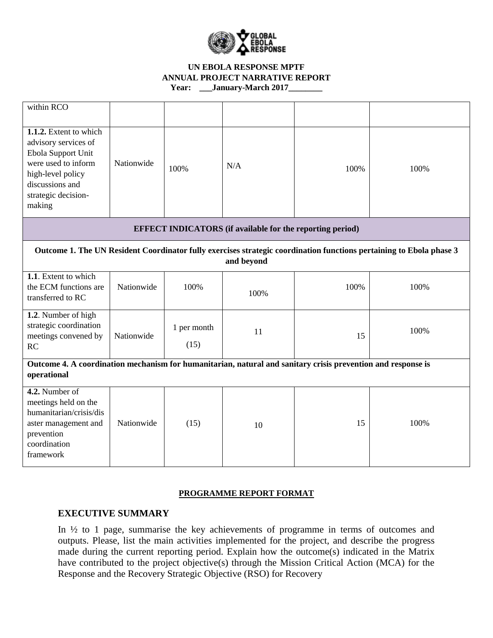

| within RCO                                                                                                                                                           |            |                     |                                                                  |      |                                                                                                                     |
|----------------------------------------------------------------------------------------------------------------------------------------------------------------------|------------|---------------------|------------------------------------------------------------------|------|---------------------------------------------------------------------------------------------------------------------|
| 1.1.2. Extent to which<br>advisory services of<br>Ebola Support Unit<br>were used to inform<br>high-level policy<br>discussions and<br>strategic decision-<br>making | Nationwide | 100%                | N/A                                                              | 100% | 100%                                                                                                                |
|                                                                                                                                                                      |            |                     | <b>EFFECT INDICATORS</b> (if available for the reporting period) |      |                                                                                                                     |
|                                                                                                                                                                      |            |                     | and beyond                                                       |      | Outcome 1. The UN Resident Coordinator fully exercises strategic coordination functions pertaining to Ebola phase 3 |
| 1.1. Extent to which<br>the ECM functions are<br>transferred to RC                                                                                                   | Nationwide | 100%                | 100%                                                             | 100% | 100%                                                                                                                |
| 1.2. Number of high<br>strategic coordination<br>meetings convened by<br>RC                                                                                          | Nationwide | 1 per month<br>(15) | 11                                                               | 15   | 100%                                                                                                                |
| Outcome 4. A coordination mechanism for humanitarian, natural and sanitary crisis prevention and response is<br>operational                                          |            |                     |                                                                  |      |                                                                                                                     |
| 4.2. Number of<br>meetings held on the<br>humanitarian/crisis/dis<br>aster management and<br>prevention<br>coordination<br>framework                                 | Nationwide | (15)                | 10                                                               | 15   | 100%                                                                                                                |

# **PROGRAMME REPORT FORMAT**

# **EXECUTIVE SUMMARY**

In ½ to 1 page, summarise the key achievements of programme in terms of outcomes and outputs. Please, list the main activities implemented for the project, and describe the progress made during the current reporting period. Explain how the outcome(s) indicated in the Matrix have contributed to the project objective(s) through the Mission Critical Action (MCA) for the Response and the Recovery Strategic Objective (RSO) for Recovery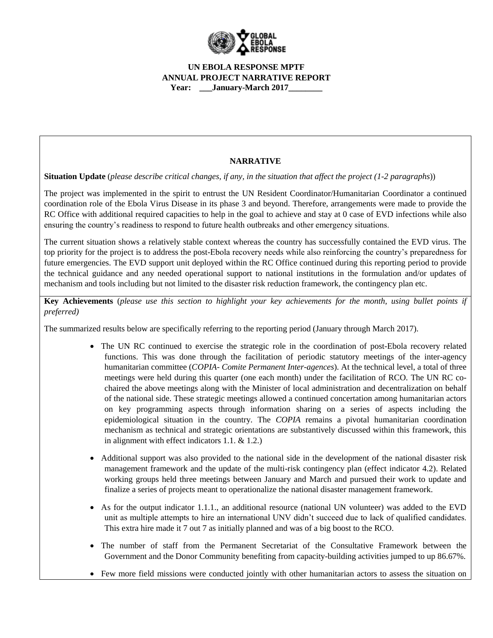

# **NARRATIVE**

**Situation Update** (*please describe critical changes, if any, in the situation that affect the project (1-2 paragraphs*))

The project was implemented in the spirit to entrust the UN Resident Coordinator/Humanitarian Coordinator a continued coordination role of the Ebola Virus Disease in its phase 3 and beyond. Therefore, arrangements were made to provide the RC Office with additional required capacities to help in the goal to achieve and stay at 0 case of EVD infections while also ensuring the country's readiness to respond to future health outbreaks and other emergency situations.

The current situation shows a relatively stable context whereas the country has successfully contained the EVD virus. The top priority for the project is to address the post-Ebola recovery needs while also reinforcing the country's preparedness for future emergencies. The EVD support unit deployed within the RC Office continued during this reporting period to provide the technical guidance and any needed operational support to national institutions in the formulation and/or updates of mechanism and tools including but not limited to the disaster risk reduction framework, the contingency plan etc.

**Key Achievements** (*please use this section to highlight your key achievements for the month, using bullet points if preferred)*

The summarized results below are specifically referring to the reporting period (January through March 2017).

- The UN RC continued to exercise the strategic role in the coordination of post-Ebola recovery related functions. This was done through the facilitation of periodic statutory meetings of the inter-agency humanitarian committee (*COPIA- Comite Permanent Inter-agences*). At the technical level, a total of three meetings were held during this quarter (one each month) under the facilitation of RCO. The UN RC cochaired the above meetings along with the Minister of local administration and decentralization on behalf of the national side. These strategic meetings allowed a continued concertation among humanitarian actors on key programming aspects through information sharing on a series of aspects including the epidemiological situation in the country. The *COPIA* remains a pivotal humanitarian coordination mechanism as technical and strategic orientations are substantively discussed within this framework, this in alignment with effect indicators 1.1. & 1.2.)
- Additional support was also provided to the national side in the development of the national disaster risk management framework and the update of the multi-risk contingency plan (effect indicator 4.2). Related working groups held three meetings between January and March and pursued their work to update and finalize a series of projects meant to operationalize the national disaster management framework.
- As for the output indicator 1.1.1., an additional resource (national UN volunteer) was added to the EVD unit as multiple attempts to hire an international UNV didn't succeed due to lack of qualified candidates. This extra hire made it 7 out 7 as initially planned and was of a big boost to the RCO.
- The number of staff from the Permanent Secretariat of the Consultative Framework between the Government and the Donor Community benefiting from capacity-building activities jumped to up 86.67%.
- Few more field missions were conducted jointly with other humanitarian actors to assess the situation on